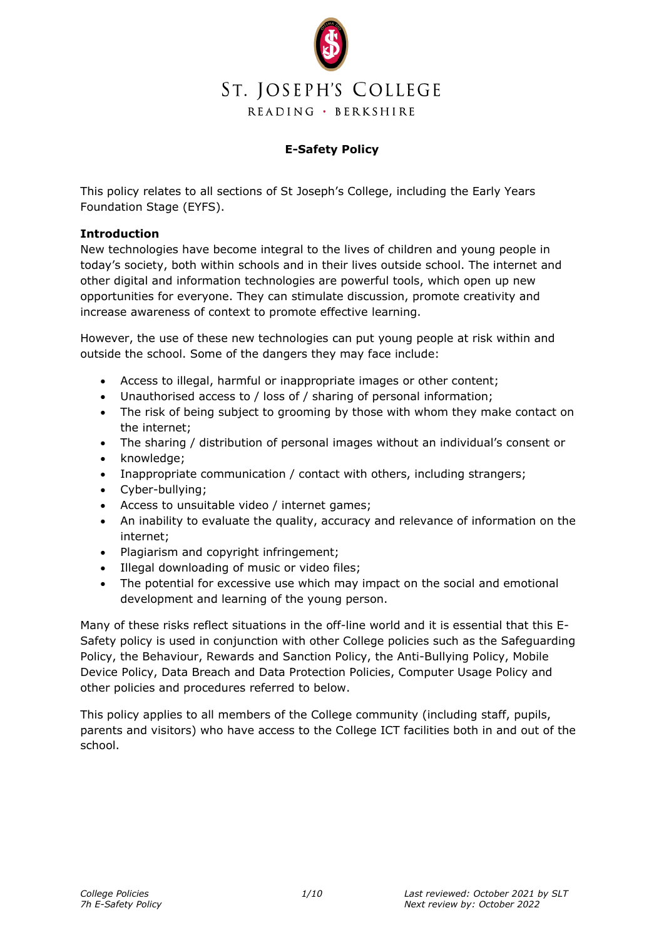

# **E-Safety Policy**

This policy relates to all sections of St Joseph's College, including the Early Years Foundation Stage (EYFS).

### **Introduction**

New technologies have become integral to the lives of children and young people in today's society, both within schools and in their lives outside school. The internet and other digital and information technologies are powerful tools, which open up new opportunities for everyone. They can stimulate discussion, promote creativity and increase awareness of context to promote effective learning.

However, the use of these new technologies can put young people at risk within and outside the school. Some of the dangers they may face include:

- Access to illegal, harmful or inappropriate images or other content;
- Unauthorised access to / loss of / sharing of personal information;
- The risk of being subject to grooming by those with whom they make contact on the internet;
- The sharing / distribution of personal images without an individual's consent or
- knowledge:
- Inappropriate communication / contact with others, including strangers;
- Cyber-bullying;
- Access to unsuitable video / internet games;
- An inability to evaluate the quality, accuracy and relevance of information on the internet;
- Plagiarism and copyright infringement;
- Illegal downloading of music or video files;
- The potential for excessive use which may impact on the social and emotional development and learning of the young person.

Many of these risks reflect situations in the off-line world and it is essential that this E-Safety policy is used in conjunction with other College policies such as the Safeguarding Policy, the Behaviour, Rewards and Sanction Policy, the Anti-Bullying Policy, Mobile Device Policy, Data Breach and Data Protection Policies, Computer Usage Policy and other policies and procedures referred to below.

This policy applies to all members of the College community (including staff, pupils, parents and visitors) who have access to the College ICT facilities both in and out of the school.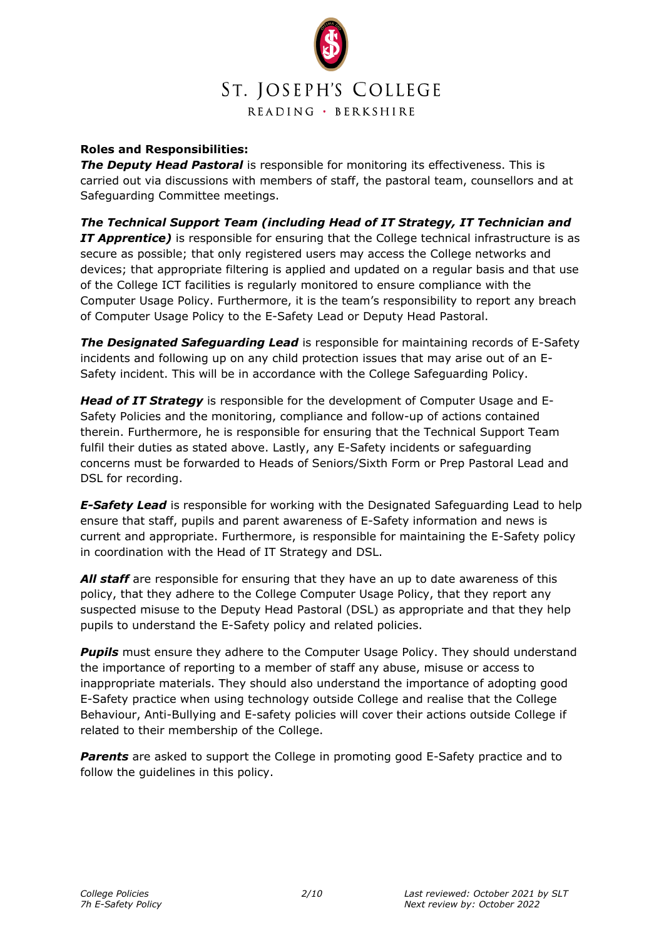

## **Roles and Responsibilities:**

**The Deputy Head Pastoral** is responsible for monitoring its effectiveness. This is carried out via discussions with members of staff, the pastoral team, counsellors and at Safeguarding Committee meetings.

*The Technical Support Team (including Head of IT Strategy, IT Technician and IT Apprentice)* is responsible for ensuring that the College technical infrastructure is as secure as possible; that only registered users may access the College networks and devices; that appropriate filtering is applied and updated on a regular basis and that use of the College ICT facilities is regularly monitored to ensure compliance with the Computer Usage Policy. Furthermore, it is the team's responsibility to report any breach of Computer Usage Policy to the E-Safety Lead or Deputy Head Pastoral.

*The Designated Safeguarding Lead* is responsible for maintaining records of E-Safety incidents and following up on any child protection issues that may arise out of an E-Safety incident. This will be in accordance with the College Safeguarding Policy.

*Head of IT Strategy* is responsible for the development of Computer Usage and E-Safety Policies and the monitoring, compliance and follow-up of actions contained therein. Furthermore, he is responsible for ensuring that the Technical Support Team fulfil their duties as stated above. Lastly, any E-Safety incidents or safeguarding concerns must be forwarded to Heads of Seniors/Sixth Form or Prep Pastoral Lead and DSL for recording.

*E-Safety Lead* is responsible for working with the Designated Safeguarding Lead to help ensure that staff, pupils and parent awareness of E-Safety information and news is current and appropriate. Furthermore, is responsible for maintaining the E-Safety policy in coordination with the Head of IT Strategy and DSL.

All staff are responsible for ensuring that they have an up to date awareness of this policy, that they adhere to the College Computer Usage Policy, that they report any suspected misuse to the Deputy Head Pastoral (DSL) as appropriate and that they help pupils to understand the E-Safety policy and related policies.

**Pupils** must ensure they adhere to the Computer Usage Policy. They should understand the importance of reporting to a member of staff any abuse, misuse or access to inappropriate materials. They should also understand the importance of adopting good E-Safety practice when using technology outside College and realise that the College Behaviour, Anti-Bullying and E-safety policies will cover their actions outside College if related to their membership of the College.

**Parents** are asked to support the College in promoting good E-Safety practice and to follow the guidelines in this policy.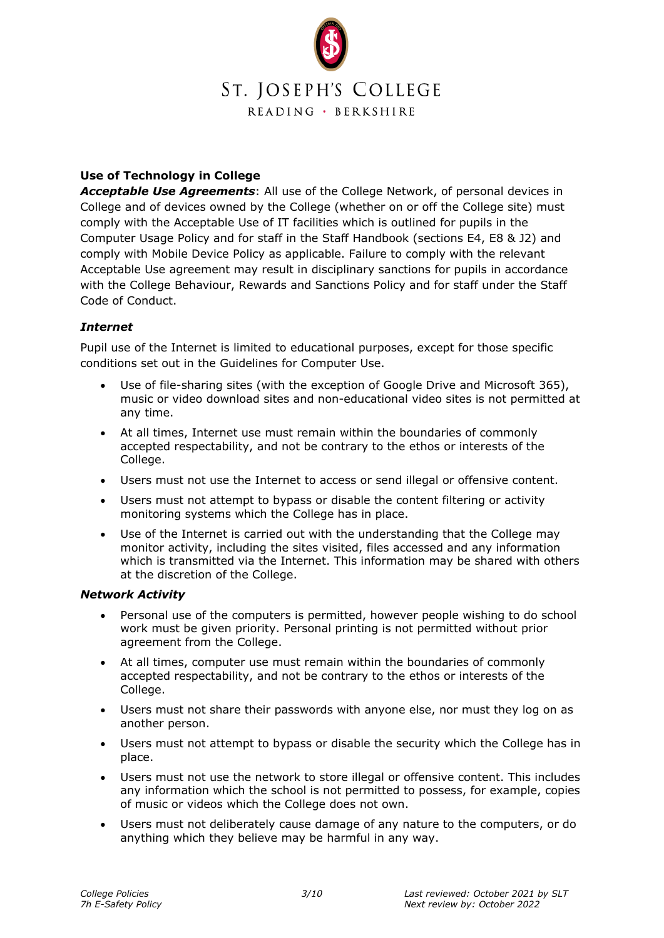

# **Use of Technology in College**

*Acceptable Use Agreements*: All use of the College Network, of personal devices in College and of devices owned by the College (whether on or off the College site) must comply with the Acceptable Use of IT facilities which is outlined for pupils in the Computer Usage Policy and for staff in the Staff Handbook (sections E4, E8 & J2) and comply with Mobile Device Policy as applicable. Failure to comply with the relevant Acceptable Use agreement may result in disciplinary sanctions for pupils in accordance with the College Behaviour, Rewards and Sanctions Policy and for staff under the Staff Code of Conduct.

## *Internet*

Pupil use of the Internet is limited to educational purposes, except for those specific conditions set out in the Guidelines for Computer Use.

- Use of file-sharing sites (with the exception of Google Drive and Microsoft 365), music or video download sites and non-educational video sites is not permitted at any time.
- At all times, Internet use must remain within the boundaries of commonly accepted respectability, and not be contrary to the ethos or interests of the College.
- Users must not use the Internet to access or send illegal or offensive content.
- Users must not attempt to bypass or disable the content filtering or activity monitoring systems which the College has in place.
- Use of the Internet is carried out with the understanding that the College may monitor activity, including the sites visited, files accessed and any information which is transmitted via the Internet. This information may be shared with others at the discretion of the College.

#### *Network Activity*

- Personal use of the computers is permitted, however people wishing to do school work must be given priority. Personal printing is not permitted without prior agreement from the College.
- At all times, computer use must remain within the boundaries of commonly accepted respectability, and not be contrary to the ethos or interests of the College.
- Users must not share their passwords with anyone else, nor must they log on as another person.
- Users must not attempt to bypass or disable the security which the College has in place.
- Users must not use the network to store illegal or offensive content. This includes any information which the school is not permitted to possess, for example, copies of music or videos which the College does not own.
- Users must not deliberately cause damage of any nature to the computers, or do anything which they believe may be harmful in any way.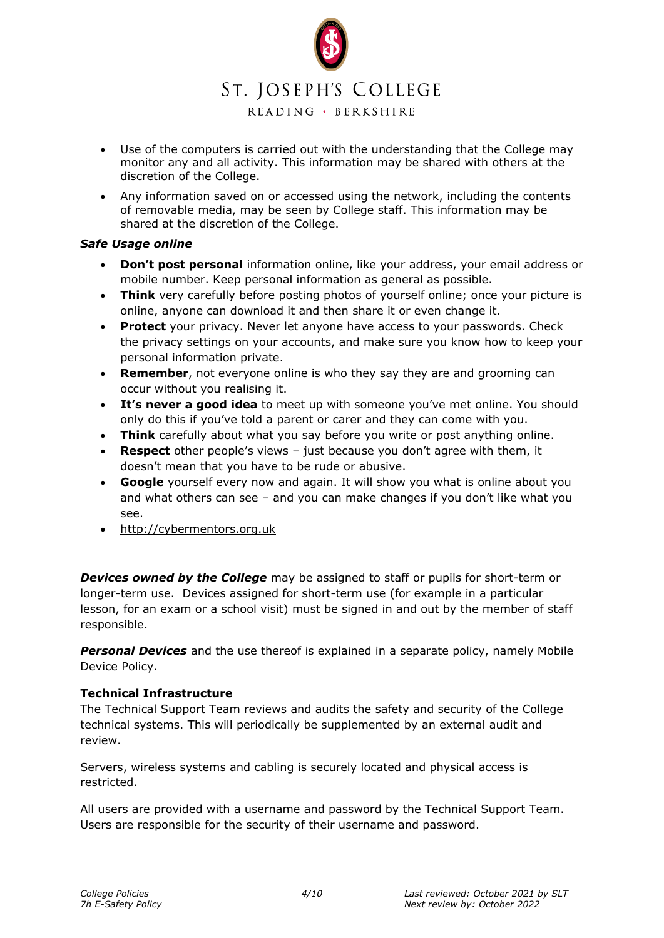

READING · BERKSHIRE

- Use of the computers is carried out with the understanding that the College may monitor any and all activity. This information may be shared with others at the discretion of the College.
- Any information saved on or accessed using the network, including the contents of removable media, may be seen by College staff. This information may be shared at the discretion of the College.

### *Safe Usage online*

- **Don't post personal** information online, like your address, your email address or mobile number. Keep personal information as general as possible.
- **Think** very carefully before posting photos of yourself online; once your picture is online, anyone can download it and then share it or even change it.
- **Protect** your privacy. Never let anyone have access to your passwords. Check the privacy settings on your accounts, and make sure you know how to keep your personal information private.
- **Remember**, not everyone online is who they say they are and grooming can occur without you realising it.
- **It's never a good idea** to meet up with someone you've met online. You should only do this if you've told a parent or carer and they can come with you.
- **Think** carefully about what you say before you write or post anything online.
- **Respect** other people's views just because you don't agree with them, it doesn't mean that you have to be rude or abusive.
- **Google** yourself every now and again. It will show you what is online about you and what others can see – and you can make changes if you don't like what you see.
- [http://cybermentors.org.uk](http://cybermentors.org.uk/)

**Devices owned by the College** may be assigned to staff or pupils for short-term or longer-term use. Devices assigned for short-term use (for example in a particular lesson, for an exam or a school visit) must be signed in and out by the member of staff responsible.

**Personal Devices** and the use thereof is explained in a separate policy, namely Mobile Device Policy.

## **Technical Infrastructure**

The Technical Support Team reviews and audits the safety and security of the College technical systems. This will periodically be supplemented by an external audit and review.

Servers, wireless systems and cabling is securely located and physical access is restricted.

All users are provided with a username and password by the Technical Support Team. Users are responsible for the security of their username and password.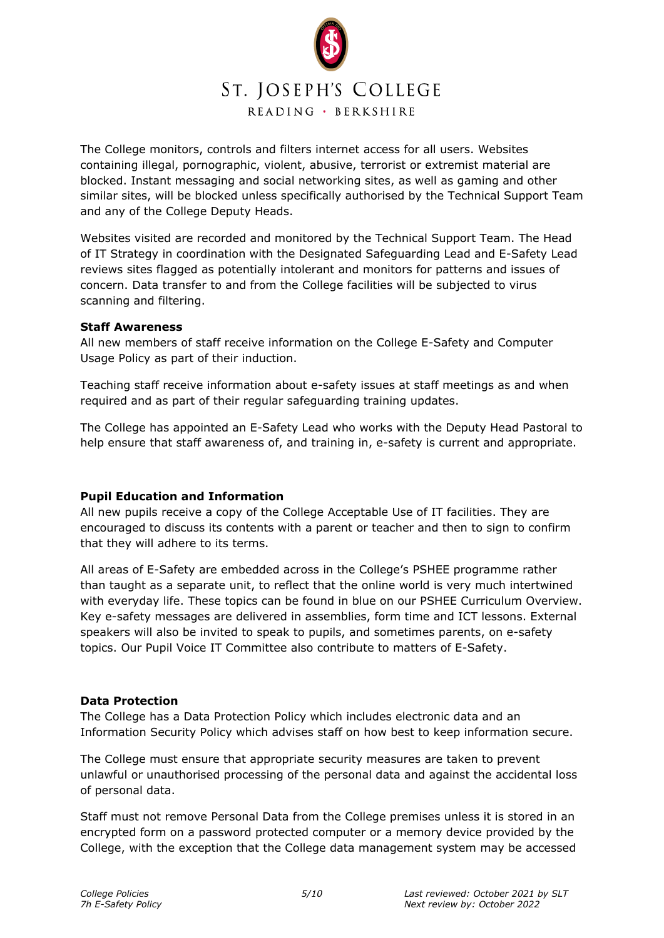

The College monitors, controls and filters internet access for all users. Websites containing illegal, pornographic, violent, abusive, terrorist or extremist material are blocked. Instant messaging and social networking sites, as well as gaming and other similar sites, will be blocked unless specifically authorised by the Technical Support Team and any of the College Deputy Heads.

Websites visited are recorded and monitored by the Technical Support Team. The Head of IT Strategy in coordination with the Designated Safeguarding Lead and E-Safety Lead reviews sites flagged as potentially intolerant and monitors for patterns and issues of concern. Data transfer to and from the College facilities will be subjected to virus scanning and filtering.

### **Staff Awareness**

All new members of staff receive information on the College E-Safety and Computer Usage Policy as part of their induction.

Teaching staff receive information about e-safety issues at staff meetings as and when required and as part of their regular safeguarding training updates.

The College has appointed an E-Safety Lead who works with the Deputy Head Pastoral to help ensure that staff awareness of, and training in, e-safety is current and appropriate.

## **Pupil Education and Information**

All new pupils receive a copy of the College Acceptable Use of IT facilities. They are encouraged to discuss its contents with a parent or teacher and then to sign to confirm that they will adhere to its terms.

All areas of E-Safety are embedded across in the College's PSHEE programme rather than taught as a separate unit, to reflect that the online world is very much intertwined with everyday life. These topics can be found in blue on our PSHEE Curriculum Overview. Key e-safety messages are delivered in assemblies, form time and ICT lessons. External speakers will also be invited to speak to pupils, and sometimes parents, on e-safety topics. Our Pupil Voice IT Committee also contribute to matters of E-Safety.

## **Data Protection**

The College has a Data Protection Policy which includes electronic data and an Information Security Policy which advises staff on how best to keep information secure.

The College must ensure that appropriate security measures are taken to prevent unlawful or unauthorised processing of the personal data and against the accidental loss of personal data.

Staff must not remove Personal Data from the College premises unless it is stored in an encrypted form on a password protected computer or a memory device provided by the College, with the exception that the College data management system may be accessed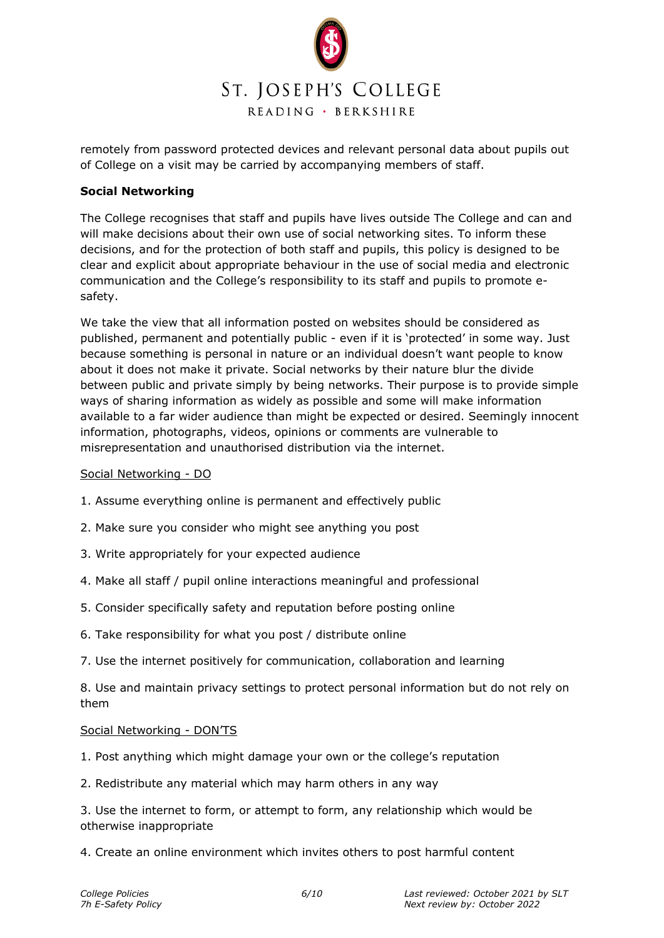

remotely from password protected devices and relevant personal data about pupils out of College on a visit may be carried by accompanying members of staff.

### **Social Networking**

The College recognises that staff and pupils have lives outside The College and can and will make decisions about their own use of social networking sites. To inform these decisions, and for the protection of both staff and pupils, this policy is designed to be clear and explicit about appropriate behaviour in the use of social media and electronic communication and the College's responsibility to its staff and pupils to promote esafety.

We take the view that all information posted on websites should be considered as published, permanent and potentially public - even if it is 'protected' in some way. Just because something is personal in nature or an individual doesn't want people to know about it does not make it private. Social networks by their nature blur the divide between public and private simply by being networks. Their purpose is to provide simple ways of sharing information as widely as possible and some will make information available to a far wider audience than might be expected or desired. Seemingly innocent information, photographs, videos, opinions or comments are vulnerable to misrepresentation and unauthorised distribution via the internet.

#### Social Networking - DO

- 1. Assume everything online is permanent and effectively public
- 2. Make sure you consider who might see anything you post
- 3. Write appropriately for your expected audience
- 4. Make all staff / pupil online interactions meaningful and professional
- 5. Consider specifically safety and reputation before posting online
- 6. Take responsibility for what you post / distribute online
- 7. Use the internet positively for communication, collaboration and learning

8. Use and maintain privacy settings to protect personal information but do not rely on them

#### Social Networking - DON'TS

- 1. Post anything which might damage your own or the college's reputation
- 2. Redistribute any material which may harm others in any way

3. Use the internet to form, or attempt to form, any relationship which would be otherwise inappropriate

4. Create an online environment which invites others to post harmful content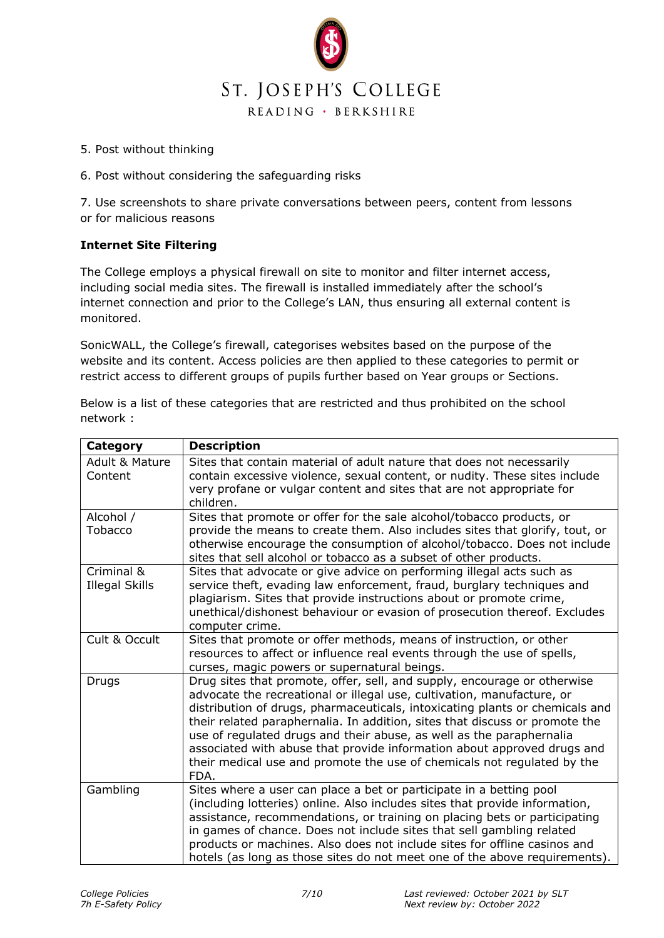

- 5. Post without thinking
- 6. Post without considering the safeguarding risks

7. Use screenshots to share private conversations between peers, content from lessons or for malicious reasons

# **Internet Site Filtering**

The College employs a physical firewall on site to monitor and filter internet access, including social media sites. The firewall is installed immediately after the school's internet connection and prior to the College's LAN, thus ensuring all external content is monitored.

SonicWALL, the College's firewall, categorises websites based on the purpose of the website and its content. Access policies are then applied to these categories to permit or restrict access to different groups of pupils further based on Year groups or Sections.

Below is a list of these categories that are restricted and thus prohibited on the school network :

| Category                             | <b>Description</b>                                                                                                                                                                                                                                                                                                                                                                                                                                                                                                                                      |  |  |  |
|--------------------------------------|---------------------------------------------------------------------------------------------------------------------------------------------------------------------------------------------------------------------------------------------------------------------------------------------------------------------------------------------------------------------------------------------------------------------------------------------------------------------------------------------------------------------------------------------------------|--|--|--|
| <b>Adult &amp; Mature</b><br>Content | Sites that contain material of adult nature that does not necessarily<br>contain excessive violence, sexual content, or nudity. These sites include<br>very profane or vulgar content and sites that are not appropriate for<br>children.                                                                                                                                                                                                                                                                                                               |  |  |  |
| Alcohol /<br>Tobacco                 | Sites that promote or offer for the sale alcohol/tobacco products, or<br>provide the means to create them. Also includes sites that glorify, tout, or<br>otherwise encourage the consumption of alcohol/tobacco. Does not include<br>sites that sell alcohol or tobacco as a subset of other products.                                                                                                                                                                                                                                                  |  |  |  |
| Criminal &<br><b>Illegal Skills</b>  | Sites that advocate or give advice on performing illegal acts such as<br>service theft, evading law enforcement, fraud, burglary techniques and<br>plagiarism. Sites that provide instructions about or promote crime,<br>unethical/dishonest behaviour or evasion of prosecution thereof. Excludes<br>computer crime.                                                                                                                                                                                                                                  |  |  |  |
| Cult & Occult                        | Sites that promote or offer methods, means of instruction, or other<br>resources to affect or influence real events through the use of spells,<br>curses, magic powers or supernatural beings.                                                                                                                                                                                                                                                                                                                                                          |  |  |  |
| Drugs                                | Drug sites that promote, offer, sell, and supply, encourage or otherwise<br>advocate the recreational or illegal use, cultivation, manufacture, or<br>distribution of drugs, pharmaceuticals, intoxicating plants or chemicals and<br>their related paraphernalia. In addition, sites that discuss or promote the<br>use of regulated drugs and their abuse, as well as the paraphernalia<br>associated with abuse that provide information about approved drugs and<br>their medical use and promote the use of chemicals not regulated by the<br>FDA. |  |  |  |
| Gambling                             | Sites where a user can place a bet or participate in a betting pool<br>(including lotteries) online. Also includes sites that provide information,<br>assistance, recommendations, or training on placing bets or participating<br>in games of chance. Does not include sites that sell gambling related<br>products or machines. Also does not include sites for offline casinos and<br>hotels (as long as those sites do not meet one of the above requirements).                                                                                     |  |  |  |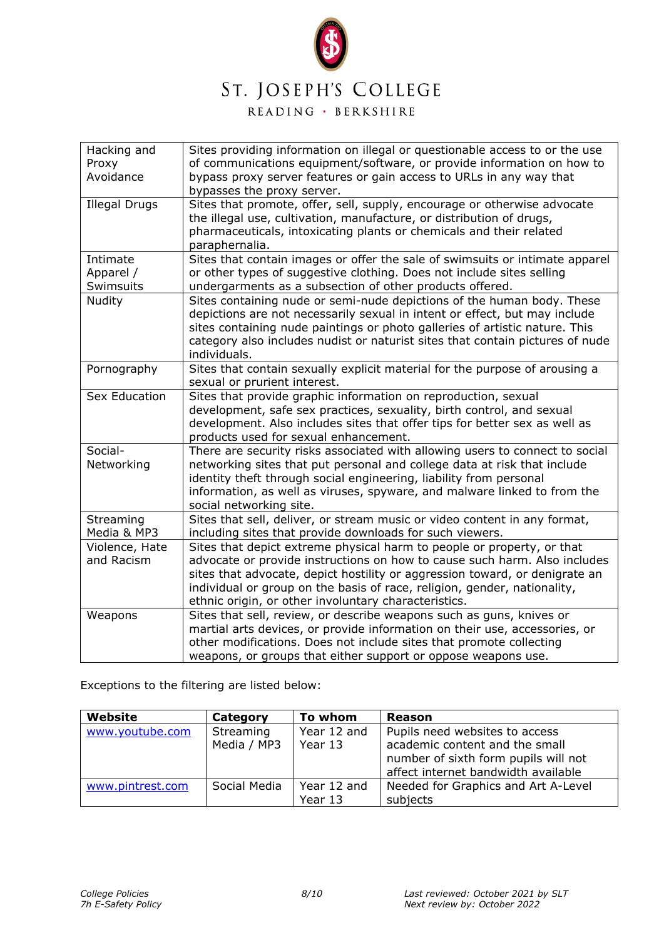

READING · BERKSHIRE

| Hacking and<br>Proxy<br>Avoidance  | Sites providing information on illegal or questionable access to or the use<br>of communications equipment/software, or provide information on how to<br>bypass proxy server features or gain access to URLs in any way that<br>bypasses the proxy server.                                                                                                             |  |  |  |
|------------------------------------|------------------------------------------------------------------------------------------------------------------------------------------------------------------------------------------------------------------------------------------------------------------------------------------------------------------------------------------------------------------------|--|--|--|
| <b>Illegal Drugs</b>               | Sites that promote, offer, sell, supply, encourage or otherwise advocate<br>the illegal use, cultivation, manufacture, or distribution of drugs,<br>pharmaceuticals, intoxicating plants or chemicals and their related<br>paraphernalia.                                                                                                                              |  |  |  |
| Intimate<br>Apparel /<br>Swimsuits | Sites that contain images or offer the sale of swimsuits or intimate apparel<br>or other types of suggestive clothing. Does not include sites selling<br>undergarments as a subsection of other products offered.                                                                                                                                                      |  |  |  |
| Nudity                             | Sites containing nude or semi-nude depictions of the human body. These<br>depictions are not necessarily sexual in intent or effect, but may include<br>sites containing nude paintings or photo galleries of artistic nature. This<br>category also includes nudist or naturist sites that contain pictures of nude<br>individuals.                                   |  |  |  |
| Pornography                        | Sites that contain sexually explicit material for the purpose of arousing a<br>sexual or prurient interest.                                                                                                                                                                                                                                                            |  |  |  |
| Sex Education                      | Sites that provide graphic information on reproduction, sexual<br>development, safe sex practices, sexuality, birth control, and sexual<br>development. Also includes sites that offer tips for better sex as well as<br>products used for sexual enhancement.                                                                                                         |  |  |  |
| Social-<br>Networking              | There are security risks associated with allowing users to connect to social<br>networking sites that put personal and college data at risk that include<br>identity theft through social engineering, liability from personal<br>information, as well as viruses, spyware, and malware linked to from the<br>social networking site.                                  |  |  |  |
| Streaming<br>Media & MP3           | Sites that sell, deliver, or stream music or video content in any format,<br>including sites that provide downloads for such viewers.                                                                                                                                                                                                                                  |  |  |  |
| Violence, Hate<br>and Racism       | Sites that depict extreme physical harm to people or property, or that<br>advocate or provide instructions on how to cause such harm. Also includes<br>sites that advocate, depict hostility or aggression toward, or denigrate an<br>individual or group on the basis of race, religion, gender, nationality,<br>ethnic origin, or other involuntary characteristics. |  |  |  |
| Weapons                            | Sites that sell, review, or describe weapons such as guns, knives or<br>martial arts devices, or provide information on their use, accessories, or<br>other modifications. Does not include sites that promote collecting<br>weapons, or groups that either support or oppose weapons use.                                                                             |  |  |  |

Exceptions to the filtering are listed below:

| Website          | Category                 | To whom                | <b>Reason</b>                                                                                                                                   |
|------------------|--------------------------|------------------------|-------------------------------------------------------------------------------------------------------------------------------------------------|
| www.youtube.com  | Streaming<br>Media / MP3 | Year 12 and<br>Year 13 | Pupils need websites to access<br>academic content and the small<br>number of sixth form pupils will not<br>affect internet bandwidth available |
| www.pintrest.com | Social Media             | Year 12 and<br>Year 13 | Needed for Graphics and Art A-Level<br>subjects                                                                                                 |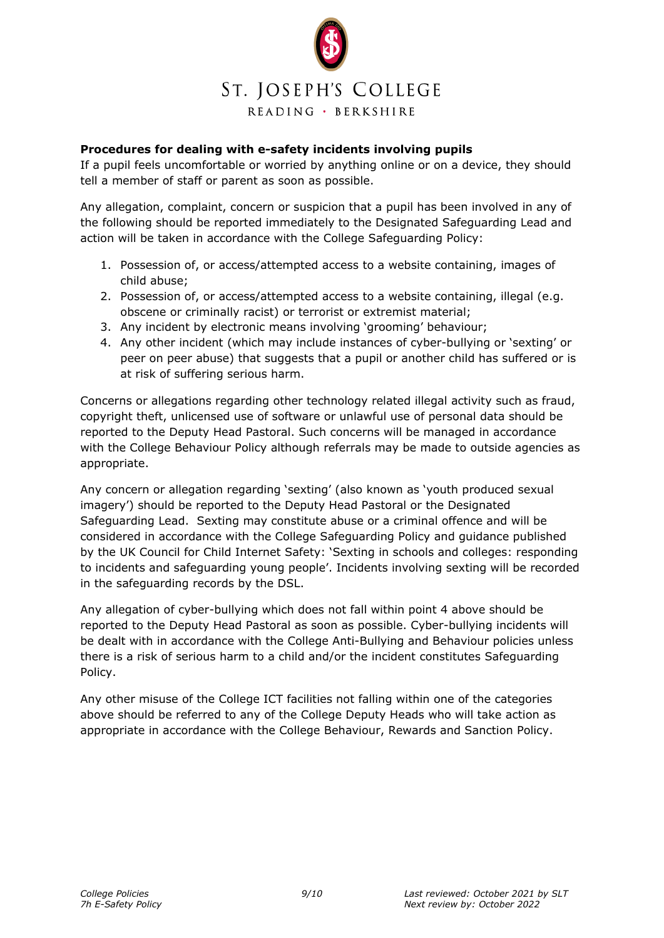

### **Procedures for dealing with e-safety incidents involving pupils**

If a pupil feels uncomfortable or worried by anything online or on a device, they should tell a member of staff or parent as soon as possible.

Any allegation, complaint, concern or suspicion that a pupil has been involved in any of the following should be reported immediately to the Designated Safeguarding Lead and action will be taken in accordance with the College Safeguarding Policy:

- 1. Possession of, or access/attempted access to a website containing, images of child abuse;
- 2. Possession of, or access/attempted access to a website containing, illegal (e.g. obscene or criminally racist) or terrorist or extremist material;
- 3. Any incident by electronic means involving 'grooming' behaviour;
- 4. Any other incident (which may include instances of cyber-bullying or 'sexting' or peer on peer abuse) that suggests that a pupil or another child has suffered or is at risk of suffering serious harm.

Concerns or allegations regarding other technology related illegal activity such as fraud, copyright theft, unlicensed use of software or unlawful use of personal data should be reported to the Deputy Head Pastoral. Such concerns will be managed in accordance with the College Behaviour Policy although referrals may be made to outside agencies as appropriate.

Any concern or allegation regarding 'sexting' (also known as 'youth produced sexual imagery') should be reported to the Deputy Head Pastoral or the Designated Safeguarding Lead. Sexting may constitute abuse or a criminal offence and will be considered in accordance with the College Safeguarding Policy and guidance published by the UK Council for Child Internet Safety: 'Sexting in schools and colleges: responding to incidents and safeguarding young people'. Incidents involving sexting will be recorded in the safeguarding records by the DSL.

Any allegation of cyber-bullying which does not fall within point 4 above should be reported to the Deputy Head Pastoral as soon as possible. Cyber-bullying incidents will be dealt with in accordance with the College Anti-Bullying and Behaviour policies unless there is a risk of serious harm to a child and/or the incident constitutes Safeguarding Policy.

Any other misuse of the College ICT facilities not falling within one of the categories above should be referred to any of the College Deputy Heads who will take action as appropriate in accordance with the College Behaviour, Rewards and Sanction Policy.